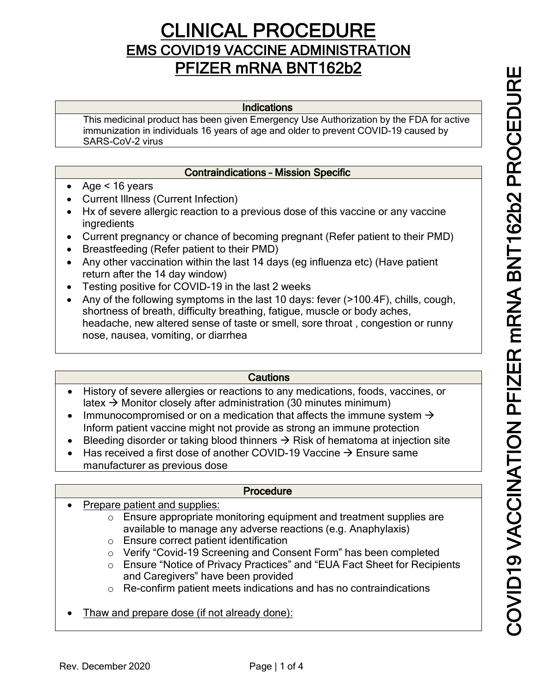# **CLINICAL PROCEDURE**<br>EMS COVID19 VACCINE ADMINISTRATION PFIZER mRNA BNT162b2

#### Indications

This medicinal product has been given Emergency Use Authorization by the FDA for active immunization in individuals 16 years of age and older to prevent COVID-19 caused by SARS-CoV-2 virus

#### Contraindications – Mission Specific

- Age < 16 years
- Current Illness (Current Infection)
- Hx of severe allergic reaction to a previous dose of this vaccine or any vaccine ingredients
- Current pregnancy or chance of becoming pregnant (Refer patient to their PMD)
- Breastfeeding (Refer patient to their PMD)
- Any other vaccination within the last 14 days (eq influenza etc) (Have patient return after the 14 day window)
- Testing positive for COVID-19 in the last 2 weeks
- Any of the following symptoms in the last 10 days: fever (>100.4F), chills, cough, shortness of breath, difficulty breathing, fatigue, muscle or body aches, headache, new altered sense of taste or smell, sore throat , congestion or runny nose, nausea, vomiting, or diarrhea

## **Cautions**

- History of severe allergies or reactions to any medications, foods, vaccines, or latex  $\rightarrow$  Monitor closely after administration (30 minutes minimum)
- Immunocompromised or on a medication that affects the immune system  $\rightarrow$ Inform patient vaccine might not provide as strong an immune protection
- Bleeding disorder or taking blood thinners  $\rightarrow$  Risk of hematoma at injection site
- Has received a first dose of another COVID-19 Vaccine  $\rightarrow$  Ensure same manufacturer as previous dose

#### **Procedure**

- Prepare patient and supplies:
	- o Ensure appropriate monitoring equipment and treatment supplies are available to manage any adverse reactions (e.g. Anaphylaxis)
	- o Ensure correct patient identification
	- o Verify "Covid-19 Screening and Consent Form" has been completed
	- o Ensure "Notice of Privacy Practices" and "EUA Fact Sheet for Recipients and Caregivers" have been provided
	- o Re-confirm patient meets indications and has no contraindications
- Thaw and prepare dose (if not already done):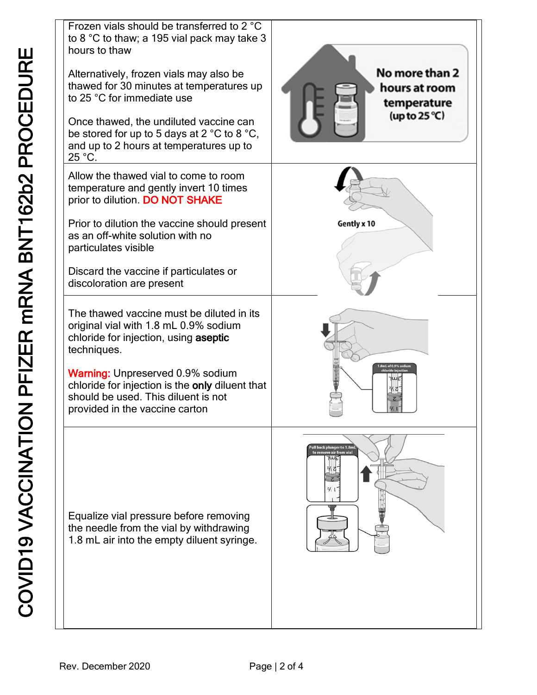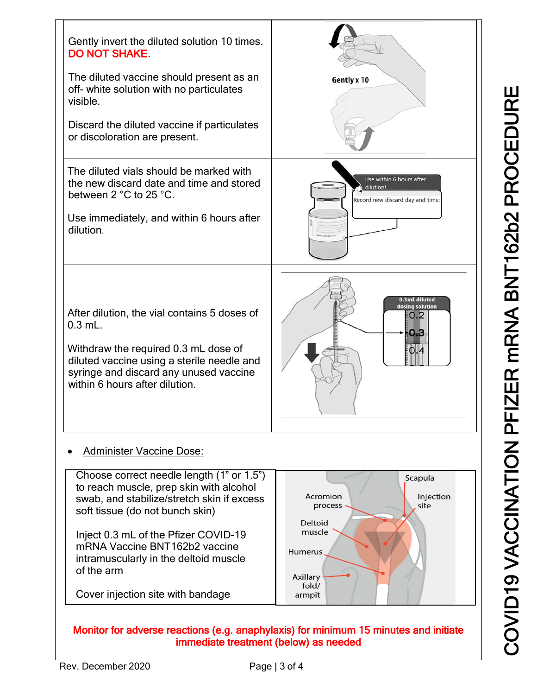

# • Administer Vaccine Dose:



## Monitor for adverse reactions (e.g. anaphylaxis) for minimum 15 minutes and initiate immediate treatment (below) as needed